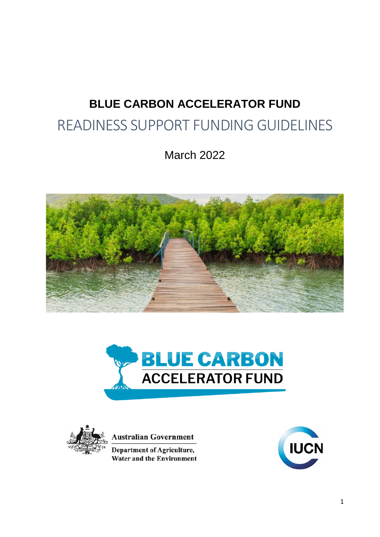# **BLUE CARBON ACCELERATOR FUND** READINESS SUPPORT FUNDING GUIDELINES

March 2022







**Australian Government** 

**Department of Agriculture, Water and the Environment** 

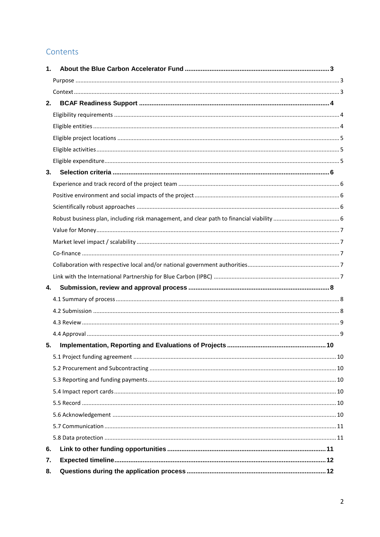# Contents

| 1. |  |
|----|--|
|    |  |
|    |  |
| 2. |  |
|    |  |
|    |  |
|    |  |
|    |  |
|    |  |
| 3. |  |
|    |  |
|    |  |
|    |  |
|    |  |
|    |  |
|    |  |
|    |  |
|    |  |
|    |  |
| 4. |  |
|    |  |
|    |  |
|    |  |
|    |  |
| 5. |  |
|    |  |
|    |  |
|    |  |
|    |  |
|    |  |
|    |  |
|    |  |
|    |  |
| 6. |  |
| 7. |  |
| 8. |  |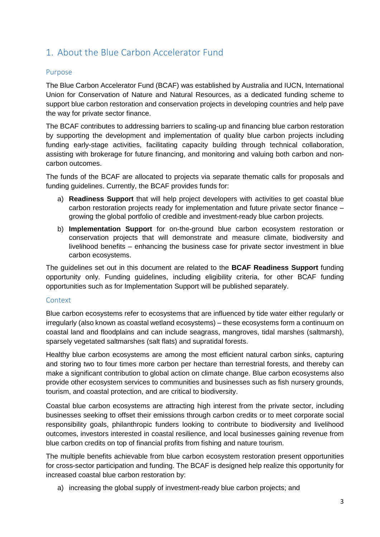# <span id="page-2-0"></span>1. About the Blue Carbon Accelerator Fund

### <span id="page-2-1"></span>Purpose

The Blue Carbon Accelerator Fund (BCAF) was established by Australia and IUCN, International Union for Conservation of Nature and Natural Resources, as a dedicated funding scheme to support blue carbon restoration and conservation projects in developing countries and help pave the way for private sector finance.

The BCAF contributes to addressing barriers to scaling-up and financing blue carbon restoration by supporting the development and implementation of quality blue carbon projects including funding early-stage activities, facilitating capacity building through technical collaboration, assisting with brokerage for future financing, and monitoring and valuing both carbon and noncarbon outcomes.

The funds of the BCAF are allocated to projects via separate thematic calls for proposals and funding guidelines. Currently, the BCAF provides funds for:

- a) **Readiness Support** that will help project developers with activities to get coastal blue carbon restoration projects ready for implementation and future private sector finance – growing the global portfolio of credible and investment-ready blue carbon projects.
- b) **Implementation Support** for on-the-ground blue carbon ecosystem restoration or conservation projects that will demonstrate and measure climate, biodiversity and livelihood benefits – enhancing the business case for private sector investment in blue carbon ecosystems.

The guidelines set out in this document are related to the **BCAF Readiness Support** funding opportunity only. Funding guidelines, including eligibility criteria, for other BCAF funding opportunities such as for Implementation Support will be published separately.

### <span id="page-2-2"></span>**Context**

Blue carbon ecosystems refer to ecosystems that are influenced by tide water either regularly or irregularly (also known as coastal wetland ecosystems) – these ecosystems form a continuum on coastal land and floodplains and can include seagrass, mangroves, tidal marshes (saltmarsh), sparsely vegetated saltmarshes (salt flats) and supratidal forests.

Healthy blue carbon ecosystems are among the most efficient natural carbon sinks, capturing and storing two to four times more carbon per hectare than terrestrial forests, and thereby can make a significant contribution to global action on climate change. Blue carbon ecosystems also provide other ecosystem services to communities and businesses such as fish nursery grounds, tourism, and coastal protection, and are critical to biodiversity.

Coastal blue carbon ecosystems are attracting high interest from the private sector, including businesses seeking to offset their emissions through carbon credits or to meet corporate social responsibility goals, philanthropic funders looking to contribute to biodiversity and livelihood outcomes, investors interested in coastal resilience, and local businesses gaining revenue from blue carbon credits on top of financial profits from fishing and nature tourism.

The multiple benefits achievable from blue carbon ecosystem restoration present opportunities for cross-sector participation and funding. The BCAF is designed help realize this opportunity for increased coastal blue carbon restoration by:

a) increasing the global supply of investment-ready blue carbon projects; and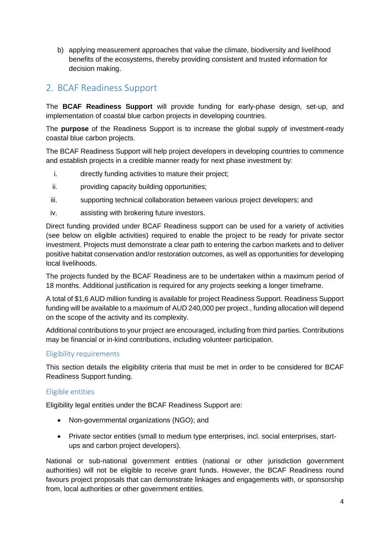b) applying measurement approaches that value the climate, biodiversity and livelihood benefits of the ecosystems, thereby providing consistent and trusted information for decision making.

# <span id="page-3-0"></span>2. BCAF Readiness Support

The **BCAF Readiness Support** will provide funding for early-phase design, set-up, and implementation of coastal blue carbon projects in developing countries.

The **purpose** of the Readiness Support is to increase the global supply of investment-ready coastal blue carbon projects.

The BCAF Readiness Support will help project developers in developing countries to commence and establish projects in a credible manner ready for next phase investment by:

- i. directly funding activities to mature their project;
- ii. providing capacity building opportunities;
- iii. supporting technical collaboration between various project developers; and
- iv. assisting with brokering future investors.

Direct funding provided under BCAF Readiness support can be used for a variety of activities (see below on eligible activities) required to enable the project to be ready for private sector investment. Projects must demonstrate a clear path to entering the carbon markets and to deliver positive habitat conservation and/or restoration outcomes, as well as opportunities for developing local livelihoods.

The projects funded by the BCAF Readiness are to be undertaken within a maximum period of 18 months. Additional justification is required for any projects seeking a longer timeframe.

A total of \$1,6 AUD million funding is available for project Readiness Support. Readiness Support funding will be available to a maximum of AUD 240,000 per project., funding allocation will depend on the scope of the activity and its complexity.

Additional contributions to your project are encouraged, including from third parties. Contributions may be financial or in-kind contributions, including volunteer participation.

### <span id="page-3-1"></span>Eligibility requirements

This section details the eligibility criteria that must be met in order to be considered for BCAF Readiness Support funding.

### <span id="page-3-2"></span>Eligible entities

Eligibility legal entities under the BCAF Readiness Support are:

- Non-governmental organizations (NGO); and
- Private sector entities (small to medium type enterprises, incl. social enterprises, startups and carbon project developers).

National or sub-national government entities (national or other jurisdiction government authorities) will not be eligible to receive grant funds. However, the BCAF Readiness round favours project proposals that can demonstrate linkages and engagements with, or sponsorship from, local authorities or other government entities.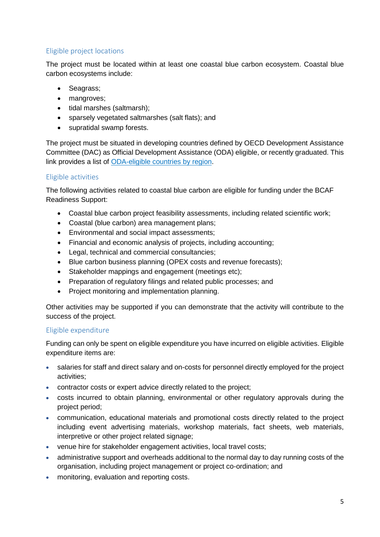# <span id="page-4-0"></span>Eligible project locations

The project must be located within at least one coastal blue carbon ecosystem. Coastal blue carbon ecosystems include:

- Seagrass;
- mangroves;
- tidal marshes (saltmarsh);
- sparsely vegetated saltmarshes (salt flats); and
- supratidal swamp forests.

The project must be situated in developing countries defined by OECD Development Assistance Committee (DAC) as Official Development Assistance (ODA) eligible, or recently graduated. This link provides a list of [ODA-eligible countries by region.](https://www.oecd-ilibrary.org/docserver/dbdd006e-en.pdf?expires=1644378413&id=id&accname=guest&checksum=5BDC13C6C025E715BBA8ECBACE960563)

## <span id="page-4-1"></span>Eligible activities

The following activities related to coastal blue carbon are eligible for funding under the BCAF Readiness Support:

- Coastal blue carbon project feasibility assessments, including related scientific work;
- Coastal (blue carbon) area management plans;
- Environmental and social impact assessments;
- Financial and economic analysis of projects, including accounting:
- Legal, technical and commercial consultancies;
- Blue carbon business planning (OPEX costs and revenue forecasts);
- Stakeholder mappings and engagement (meetings etc);
- Preparation of regulatory filings and related public processes; and
- Project monitoring and implementation planning.

Other activities may be supported if you can demonstrate that the activity will contribute to the success of the project.

### <span id="page-4-2"></span>Eligible expenditure

Funding can only be spent on eligible expenditure you have incurred on eligible activities. Eligible expenditure items are:

- salaries for staff and direct salary and on-costs for personnel directly employed for the project activities;
- contractor costs or expert advice directly related to the project;
- costs incurred to obtain planning, environmental or other regulatory approvals during the project period;
- communication, educational materials and promotional costs directly related to the project including event advertising materials, workshop materials, fact sheets, web materials, interpretive or other project related signage;
- venue hire for stakeholder engagement activities, local travel costs;
- administrative support and overheads additional to the normal day to day running costs of the organisation, including project management or project co-ordination; and
- monitoring, evaluation and reporting costs.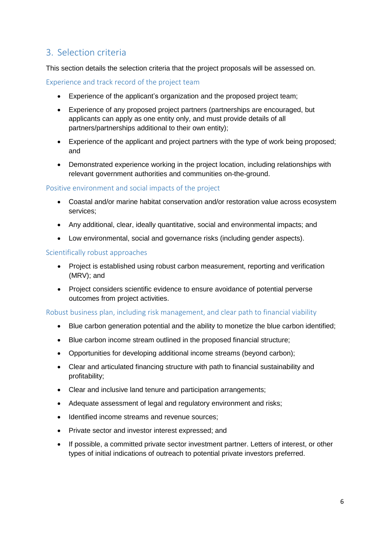# <span id="page-5-0"></span>3. Selection criteria

This section details the selection criteria that the project proposals will be assessed on.

<span id="page-5-1"></span>Experience and track record of the project team

- Experience of the applicant's organization and the proposed project team;
- Experience of any proposed project partners (partnerships are encouraged, but applicants can apply as one entity only, and must provide details of all partners/partnerships additional to their own entity);
- Experience of the applicant and project partners with the type of work being proposed; and
- Demonstrated experience working in the project location, including relationships with relevant government authorities and communities on-the-ground.

### <span id="page-5-2"></span>Positive environment and social impacts of the project

- Coastal and/or marine habitat conservation and/or restoration value across ecosystem services;
- Any additional, clear, ideally quantitative, social and environmental impacts; and
- Low environmental, social and governance risks (including gender aspects).

### <span id="page-5-3"></span>Scientifically robust approaches

- Project is established using robust carbon measurement, reporting and verification (MRV); and
- Project considers scientific evidence to ensure avoidance of potential perverse outcomes from project activities.

### <span id="page-5-4"></span>Robust business plan, including risk management, and clear path to financial viability

- Blue carbon generation potential and the ability to monetize the blue carbon identified;
- Blue carbon income stream outlined in the proposed financial structure;
- Opportunities for developing additional income streams (beyond carbon);
- Clear and articulated financing structure with path to financial sustainability and profitability;
- Clear and inclusive land tenure and participation arrangements;
- Adequate assessment of legal and regulatory environment and risks;
- Identified income streams and revenue sources:
- Private sector and investor interest expressed; and
- If possible, a committed private sector investment partner. Letters of interest, or other types of initial indications of outreach to potential private investors preferred.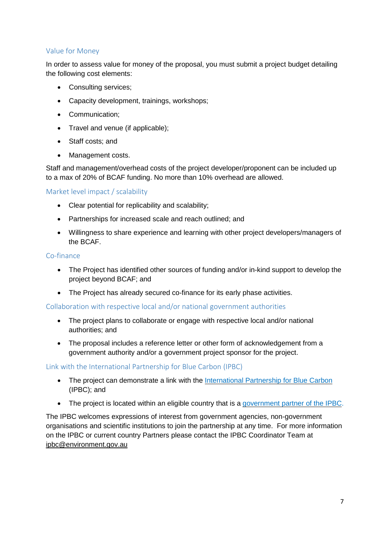## <span id="page-6-0"></span>Value for Money

In order to assess value for money of the proposal, you must submit a project budget detailing the following cost elements:

- Consulting services;
- Capacity development, trainings, workshops;
- Communication;
- Travel and venue (if applicable);
- Staff costs: and
- Management costs.

Staff and management/overhead costs of the project developer/proponent can be included up to a max of 20% of BCAF funding. No more than 10% overhead are allowed.

<span id="page-6-1"></span>Market level impact / scalability

- Clear potential for replicability and scalability;
- Partnerships for increased scale and reach outlined; and
- Willingness to share experience and learning with other project developers/managers of the BCAF.

#### <span id="page-6-2"></span>Co-finance

- The Project has identified other sources of funding and/or in-kind support to develop the project beyond BCAF; and
- The Project has already secured co-finance for its early phase activities.

#### <span id="page-6-3"></span>Collaboration with respective local and/or national government authorities

- The project plans to collaborate or engage with respective local and/or national authorities; and
- The proposal includes a reference letter or other form of acknowledgement from a government authority and/or a government project sponsor for the project.

#### <span id="page-6-4"></span>Link with the International Partnership for Blue Carbon (IPBC)

- The project can demonstrate a link with the [International](https://bluecarbonpartnership.org/) Partnership for Blue Carbon (IPBC); and
- The project is located within an eligible country that is a [government](https://bluecarbonpartnership.org/the-partnership/) partner of the IPBC.

The IPBC welcomes expressions of interest from government agencies, non-government organisations and scientific institutions to join the partnership at any time. For more information on the IPBC or current country Partners please contact the IPBC Coordinator Team at [ipbc@environment.gov.au](mailto:ipbc@environment.gov.au)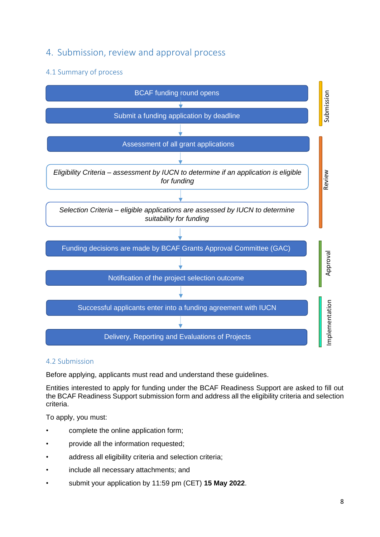# <span id="page-7-0"></span>4. Submission, review and approval process

# <span id="page-7-1"></span>4.1 Summary of process



### <span id="page-7-2"></span>4.2 Submission

Before applying, applicants must read and understand these guidelines.

Entities interested to apply for funding under the BCAF Readiness Support are asked to fill out the BCAF Readiness Support submission form and address all the eligibility criteria and selection criteria.

To apply, you must:

- complete the online application form;
- provide all the information requested;
- address all eligibility criteria and selection criteria;
- include all necessary attachments; and
- submit your application by 11:59 pm (CET) **15 May 2022**.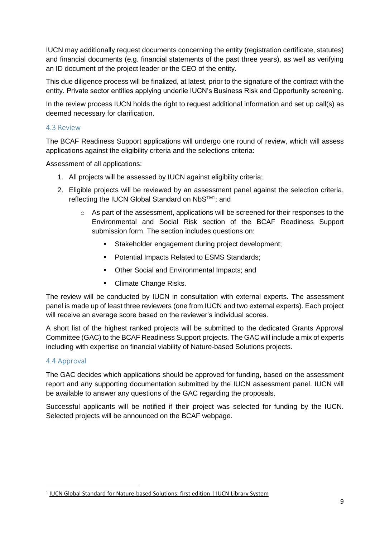IUCN may additionally request documents concerning the entity (registration certificate, statutes) and financial documents (e.g. financial statements of the past three years), as well as verifying an ID document of the project leader or the CEO of the entity.

This due diligence process will be finalized, at latest, prior to the signature of the contract with the entity. Private sector entities applying underlie IUCN's Business Risk and Opportunity screening.

In the review process IUCN holds the right to request additional information and set up call(s) as deemed necessary for clarification.

### <span id="page-8-0"></span>4.3 Review

The BCAF Readiness Support applications will undergo one round of review, which will assess applications against the eligibility criteria and the selections criteria:

Assessment of all applications:

- 1. All projects will be assessed by IUCN against eligibility criteria;
- 2. Eligible projects will be reviewed by an assessment panel against the selection criteria, reflecting the IUCN Global Standard on NbS™1; and
	- o As part of the assessment, applications will be screened for their responses to the Environmental and Social Risk section of the BCAF Readiness Support submission form. The section includes questions on:
		- **Stakeholder engagement during project development;**
		- **Potential Impacts Related to ESMS Standards;**
		- **Other Social and Environmental Impacts: and**
		- **Climate Change Risks.**

The review will be conducted by IUCN in consultation with external experts. The assessment panel is made up of least three reviewers (one from IUCN and two external experts). Each project will receive an average score based on the reviewer's individual scores.

A short list of the highest ranked projects will be submitted to the dedicated Grants Approval Committee (GAC) to the BCAF Readiness Support projects. The GAC will include a mix of experts including with expertise on financial viability of Nature-based Solutions projects.

#### <span id="page-8-1"></span>4.4 Approval

**.** 

The GAC decides which applications should be approved for funding, based on the assessment report and any supporting documentation submitted by the IUCN assessment panel. IUCN will be available to answer any questions of the GAC regarding the proposals.

Successful applicants will be notified if their project was selected for funding by the IUCN. Selected projects will be announced on the BCAF webpage.

<sup>&</sup>lt;sup>1</sup> IUCN Global Standard for [Nature-based](https://portals.iucn.org/library/node/49070) Solutions: first edition | IUCN Library System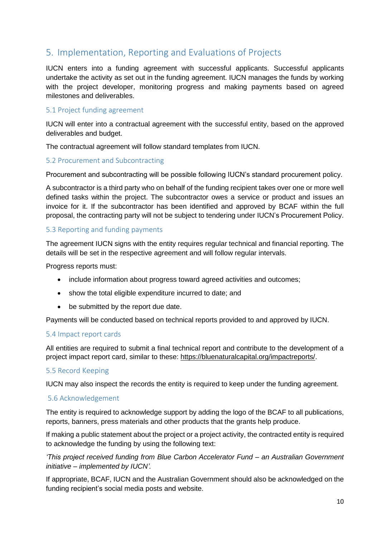# <span id="page-9-0"></span>5. Implementation, Reporting and Evaluations of Projects

IUCN enters into a funding agreement with successful applicants. Successful applicants undertake the activity as set out in the funding agreement. IUCN manages the funds by working with the project developer, monitoring progress and making payments based on agreed milestones and deliverables.

### <span id="page-9-1"></span>5.1 Project funding agreement

IUCN will enter into a contractual agreement with the successful entity, based on the approved deliverables and budget.

The contractual agreement will follow standard templates from IUCN.

#### <span id="page-9-2"></span>5.2 Procurement and Subcontracting

Procurement and subcontracting will be possible following IUCN's standard procurement policy.

A subcontractor is a third party who on behalf of the funding recipient takes over one or more well defined tasks within the project. The subcontractor owes a service or product and issues an invoice for it. If the subcontractor has been identified and approved by BCAF within the full proposal, the contracting party will not be subject to tendering under IUCN's Procurement Policy.

### <span id="page-9-3"></span>5.3 Reporting and funding payments

The agreement IUCN signs with the entity requires regular technical and financial reporting. The details will be set in the respective agreement and will follow regular intervals.

Progress reports must:

- include information about progress toward agreed activities and outcomes;
- show the total eligible expenditure incurred to date; and
- be submitted by the report due date.

Payments will be conducted based on technical reports provided to and approved by IUCN.

#### <span id="page-9-4"></span>5.4 Impact report cards

All entities are required to submit a final technical report and contribute to the development of a project impact report card, similar to these: [https://bluenaturalcapital.org/impactreports/.](https://bluenaturalcapital.org/impactreports/)

#### <span id="page-9-5"></span>5.5 Record Keeping

IUCN may also inspect the records the entity is required to keep under the funding agreement.

#### <span id="page-9-6"></span>5.6 Acknowledgement

The entity is required to acknowledge support by adding the logo of the BCAF to all publications, reports, banners, press materials and other products that the grants help produce.

If making a public statement about the project or a project activity, the contracted entity is required to acknowledge the funding by using the following text:

*'This project received funding from Blue Carbon Accelerator Fund – an Australian Government initiative – implemented by IUCN'.*

If appropriate, BCAF, IUCN and the Australian Government should also be acknowledged on the funding recipient's social media posts and website.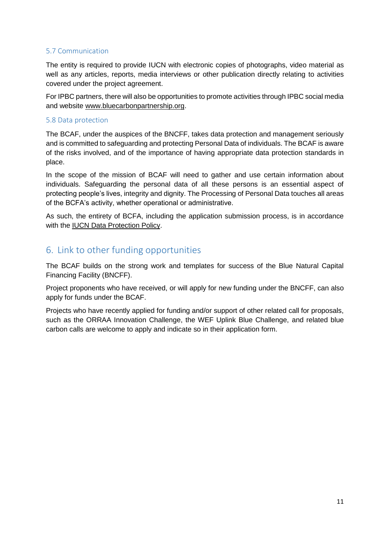# <span id="page-10-0"></span>5.7 Communication

The entity is required to provide IUCN with electronic copies of photographs, video material as well as any articles, reports, media interviews or other publication directly relating to activities covered under the project agreement.

For IPBC partners, there will also be opportunities to promote activities through IPBC social media and website [www.bluecarbonpartnership.org.](http://www.bluecarbonpartnership.org/)

### <span id="page-10-1"></span>5.8 Data protection

The BCAF, under the auspices of the BNCFF, takes data protection and management seriously and is committed to safeguarding and protecting Personal Data of individuals. The BCAF is aware of the risks involved, and of the importance of having appropriate data protection standards in place.

In the scope of the mission of BCAF will need to gather and use certain information about individuals. Safeguarding the personal data of all these persons is an essential aspect of protecting people's lives, integrity and dignity. The Processing of Personal Data touches all areas of the BCFA's activity, whether operational or administrative.

As such, the entirety of BCFA, including the application submission process, is in accordance with the [IUCN Data Protection Policy.](https://www.iucn.org/sites/dev/files/iucn_data_protection_policy.pdf)

# <span id="page-10-2"></span>6. Link to other funding opportunities

The BCAF builds on the strong work and templates for success of the Blue Natural Capital Financing Facility (BNCFF).

Project proponents who have received, or will apply for new funding under the BNCFF, can also apply for funds under the BCAF.

Projects who have recently applied for funding and/or support of other related call for proposals, such as the ORRAA Innovation Challenge, the WEF Uplink Blue Challenge, and related blue carbon calls are welcome to apply and indicate so in their application form.